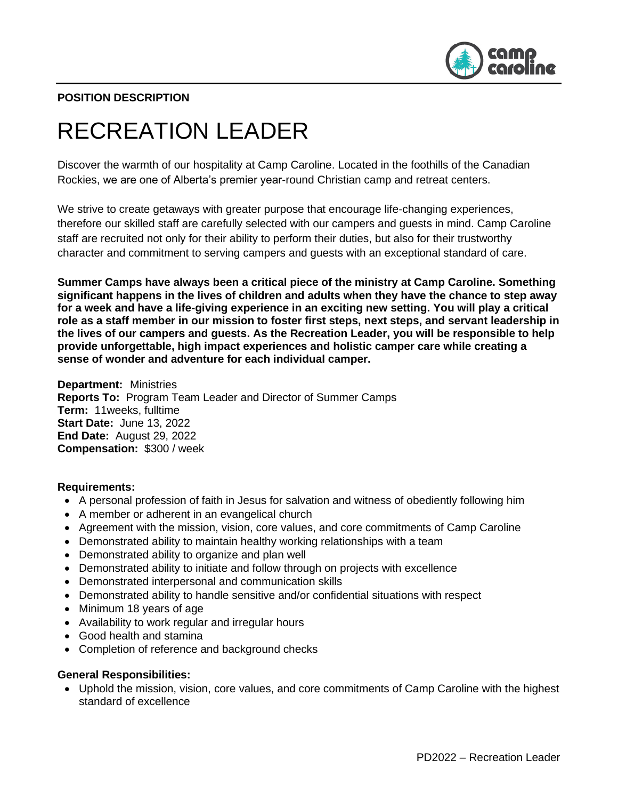

## **POSITION DESCRIPTION**

# RECREATION LEADER

Discover the warmth of our hospitality at Camp Caroline. Located in the foothills of the Canadian Rockies, we are one of Alberta's premier year-round Christian camp and retreat centers.

We strive to create getaways with greater purpose that encourage life-changing experiences, therefore our skilled staff are carefully selected with our campers and guests in mind. Camp Caroline staff are recruited not only for their ability to perform their duties, but also for their trustworthy character and commitment to serving campers and guests with an exceptional standard of care.

**Summer Camps have always been a critical piece of the ministry at Camp Caroline. Something significant happens in the lives of children and adults when they have the chance to step away for a week and have a life-giving experience in an exciting new setting. You will play a critical role as a staff member in our mission to foster first steps, next steps, and servant leadership in the lives of our campers and guests. As the Recreation Leader, you will be responsible to help provide unforgettable, high impact experiences and holistic camper care while creating a sense of wonder and adventure for each individual camper.**

**Department:** Ministries **Reports To:** Program Team Leader and Director of Summer Camps **Term:** 11weeks, fulltime **Start Date:** June 13, 2022 **End Date:** August 29, 2022 **Compensation:** \$300 / week

#### **Requirements:**

- A personal profession of faith in Jesus for salvation and witness of obediently following him
- A member or adherent in an evangelical church
- Agreement with the mission, vision, core values, and core commitments of Camp Caroline
- Demonstrated ability to maintain healthy working relationships with a team
- Demonstrated ability to organize and plan well
- Demonstrated ability to initiate and follow through on projects with excellence
- Demonstrated interpersonal and communication skills
- Demonstrated ability to handle sensitive and/or confidential situations with respect
- Minimum 18 years of age
- Availability to work regular and irregular hours
- Good health and stamina
- Completion of reference and background checks

#### **General Responsibilities:**

• Uphold the mission, vision, core values, and core commitments of Camp Caroline with the highest standard of excellence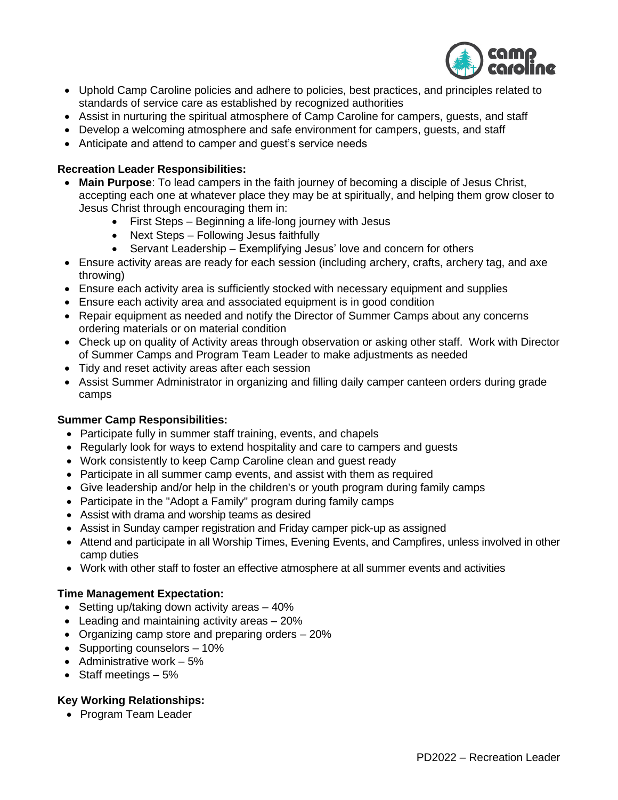

- Uphold Camp Caroline policies and adhere to policies, best practices, and principles related to standards of service care as established by recognized authorities
- Assist in nurturing the spiritual atmosphere of Camp Caroline for campers, guests, and staff
- Develop a welcoming atmosphere and safe environment for campers, guests, and staff
- Anticipate and attend to camper and guest's service needs

## **Recreation Leader Responsibilities:**

- **Main Purpose**: To lead campers in the faith journey of becoming a disciple of Jesus Christ, accepting each one at whatever place they may be at spiritually, and helping them grow closer to Jesus Christ through encouraging them in:
	- First Steps Beginning a life-long journey with Jesus
	- Next Steps Following Jesus faithfully
	- Servant Leadership Exemplifying Jesus' love and concern for others
- Ensure activity areas are ready for each session (including archery, crafts, archery tag, and axe throwing)
- Ensure each activity area is sufficiently stocked with necessary equipment and supplies
- Ensure each activity area and associated equipment is in good condition
- Repair equipment as needed and notify the Director of Summer Camps about any concerns ordering materials or on material condition
- Check up on quality of Activity areas through observation or asking other staff. Work with Director of Summer Camps and Program Team Leader to make adjustments as needed
- Tidy and reset activity areas after each session
- Assist Summer Administrator in organizing and filling daily camper canteen orders during grade camps

### **Summer Camp Responsibilities:**

- Participate fully in summer staff training, events, and chapels
- Regularly look for ways to extend hospitality and care to campers and guests
- Work consistently to keep Camp Caroline clean and guest ready
- Participate in all summer camp events, and assist with them as required
- Give leadership and/or help in the children's or youth program during family camps
- Participate in the "Adopt a Family" program during family camps
- Assist with drama and worship teams as desired
- Assist in Sunday camper registration and Friday camper pick-up as assigned
- Attend and participate in all Worship Times, Evening Events, and Campfires, unless involved in other camp duties
- Work with other staff to foster an effective atmosphere at all summer events and activities

### **Time Management Expectation:**

- Setting up/taking down activity areas 40%
- Leading and maintaining activity areas 20%
- Organizing camp store and preparing orders 20%
- Supporting counselors 10%
- Administrative work 5%
- Staff meetings 5%

### **Key Working Relationships:**

• Program Team Leader